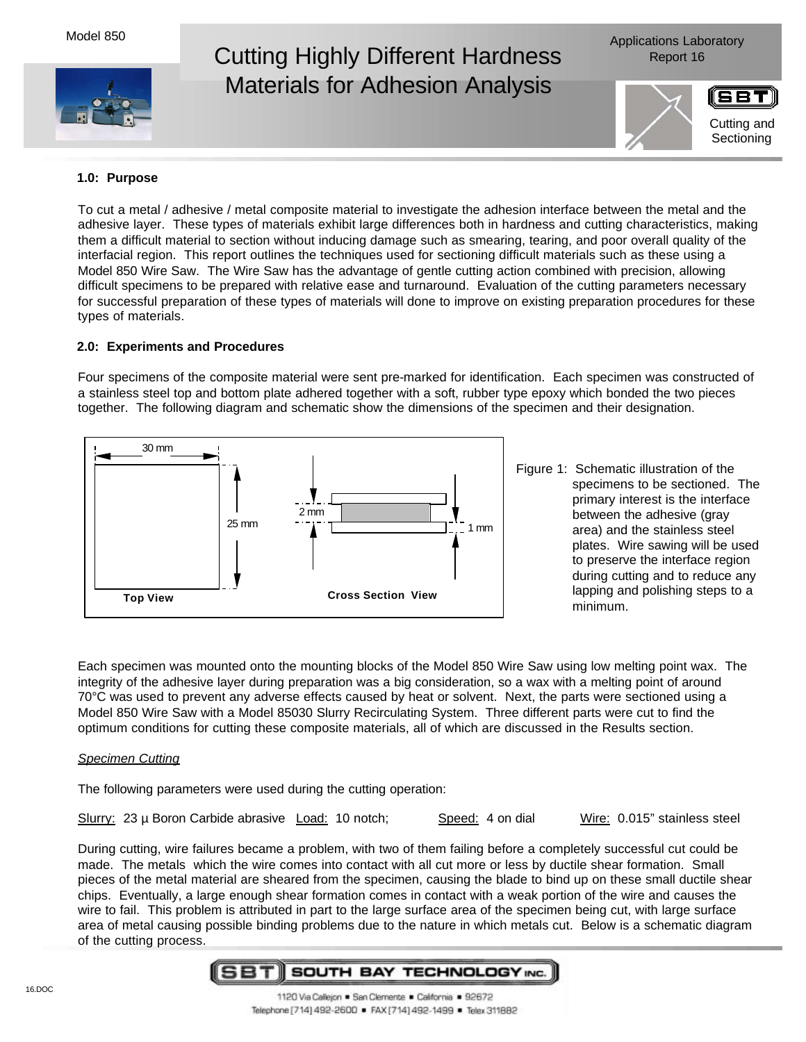Model 850



# Cutting Highly Different Hardness Report 16 Materials for Adhesion Analysis

Applications Laboratory



Cutting and **Sectioning** 

## **1.0: Purpose**

To cut a metal / adhesive / metal composite material to investigate the adhesion interface between the metal and the adhesive layer. These types of materials exhibit large differences both in hardness and cutting characteristics, making them a difficult material to section without inducing damage such as smearing, tearing, and poor overall quality of the interfacial region. This report outlines the techniques used for sectioning difficult materials such as these using a Model 850 Wire Saw. The Wire Saw has the advantage of gentle cutting action combined with precision, allowing difficult specimens to be prepared with relative ease and turnaround. Evaluation of the cutting parameters necessary for successful preparation of these types of materials will done to improve on existing preparation procedures for these types of materials.

### **2.0: Experiments and Procedures**

Four specimens of the composite material were sent pre-marked for identification. Each specimen was constructed of a stainless steel top and bottom plate adhered together with a soft, rubber type epoxy which bonded the two pieces together. The following diagram and schematic show the dimensions of the specimen and their designation.



Figure 1: Schematic illustration of the specimens to be sectioned. The primary interest is the interface between the adhesive (gray area) and the stainless steel plates. Wire sawing will be used to preserve the interface region during cutting and to reduce any lapping and polishing steps to a minimum.

Each specimen was mounted onto the mounting blocks of the Model 850 Wire Saw using low melting point wax. The integrity of the adhesive layer during preparation was a big consideration, so a wax with a melting point of around 70°C was used to prevent any adverse effects caused by heat or solvent. Next, the parts were sectioned using a Model 850 Wire Saw with a Model 85030 Slurry Recirculating System. Three different parts were cut to find the optimum conditions for cutting these composite materials, all of which are discussed in the Results section.

#### *Specimen Cutting*

The following parameters were used during the cutting operation:

Slurry: 23 µ Boron Carbide abrasive Load: 10 notch; Speed: 4 on dial Wire: 0.015" stainless steel

During cutting, wire failures became a problem, with two of them failing before a completely successful cut could be made. The metals which the wire comes into contact with all cut more or less by ductile shear formation. Small pieces of the metal material are sheared from the specimen, causing the blade to bind up on these small ductile shear chips. Eventually, a large enough shear formation comes in contact with a weak portion of the wire and causes the wire to fail. This problem is attributed in part to the large surface area of the specimen being cut, with large surface area of metal causing possible binding problems due to the nature in which metals cut. Below is a schematic diagram of the cutting process.

#### 68 T SOUTH BAY TECHNOLOGY INC.